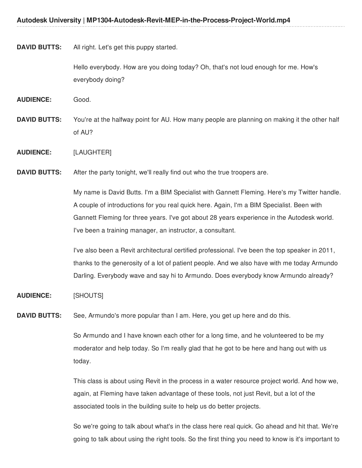#### **DAVID BUTTS:** All right. Let's get this puppy started.

Hello everybody. How are you doing today? Oh, that's not loud enough for me. How's everybody doing?

**AUDIENCE:** Good.

**DAVID BUTTS:** You're at the halfway point for AU. How many people are planning on making it the other half of AU?

**AUDIENCE:** [LAUGHTER]

**DAVID BUTTS:** After the party tonight, we'll really find out who the true troopers are.

My name is David Butts. I'm a BIM Specialist with Gannett Fleming. Here's my Twitter handle. A couple of introductions for you real quick here. Again, I'm a BIM Specialist. Been with Gannett Fleming for three years. I've got about 28 years experience in the Autodesk world. I've been a training manager, an instructor, a consultant.

I've also been a Revit architectural certified professional. I've been the top speaker in 2011, thanks to the generosity of a lot of patient people. And we also have with me today Armundo Darling. Everybody wave and say hi to Armundo. Does everybody know Armundo already?

#### **AUDIENCE:** [SHOUTS]

**DAVID BUTTS:** See, Armundo's more popular than I am. Here, you get up here and do this.

So Armundo and I have known each other for a long time, and he volunteered to be my moderator and help today. So I'm really glad that he got to be here and hang out with us today.

This class is about using Revit in the process in a water resource project world. And how we, again, at Fleming have taken advantage of these tools, not just Revit, but a lot of the associated tools in the building suite to help us do better projects.

So we're going to talk about what's in the class here real quick. Go ahead and hit that. We're going to talk about using the right tools. So the first thing you need to know is it's important to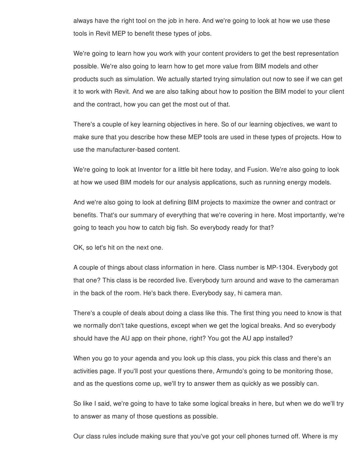always have the right tool on the job in here. And we're going to look at how we use these tools in Revit MEP to benefit these types of jobs.

We're going to learn how you work with your content providers to get the best representation possible. We're also going to learn how to get more value from BIM models and other products such as simulation. We actually started trying simulation out now to see if we can get it to work with Revit. And we are also talking about how to position the BIM model to your client and the contract, how you can get the most out of that.

There's a couple of key learning objectives in here. So of our learning objectives, we want to make sure that you describe how these MEP tools are used in these types of projects. How to use the manufacturer-based content.

We're going to look at Inventor for a little bit here today, and Fusion. We're also going to look at how we used BIM models for our analysis applications, such as running energy models.

And we're also going to look at defining BIM projects to maximize the owner and contract or benefits. That's our summary of everything that we're covering in here. Most importantly, we're going to teach you how to catch big fish. So everybody ready for that?

OK, so let's hit on the next one.

A couple of things about class information in here. Class number is MP-1304. Everybody got that one? This class is be recorded live. Everybody turn around and wave to the cameraman in the back of the room. He's back there. Everybody say, hi camera man.

There's a couple of deals about doing a class like this. The first thing you need to know is that we normally don't take questions, except when we get the logical breaks. And so everybody should have the AU app on their phone, right? You got the AU app installed?

When you go to your agenda and you look up this class, you pick this class and there's an activities page. If you'll post your questions there, Armundo's going to be monitoring those, and as the questions come up, we'll try to answer them as quickly as we possibly can.

So like I said, we're going to have to take some logical breaks in here, but when we do we'll try to answer as many of those questions as possible.

Our class rules include making sure that you've got your cell phones turned off. Where is my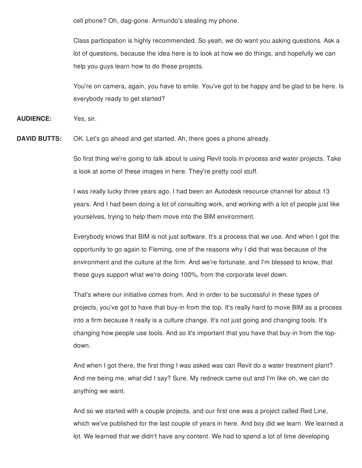cell phone? Oh, dag-gone. Armundo's stealing my phone.

Class participation is highly recommended. So yeah, we do want you asking questions. Ask a lot of questions, because the idea here is to look at how we do things, and hopefully we can help you guys learn how to do these projects.

You're on camera, again, you have to smile. You've got to be happy and be glad to be here. Is everybody ready to get started?

**AUDIENCE:** Yes, sir.

**DAVID BUTTS:** OK. Let's go ahead and get started. Ah, there goes a phone already.

So first thing we're going to talk about is using Revit tools in process and water projects. Take a look at some of these images in here. They're pretty cool stuff.

I was really lucky three years ago. I had been an Autodesk resource channel for about 13 years. And I had been doing a lot of consulting work, and working with a lot of people just like yourselves, trying to help them move into the BIM environment.

Everybody knows that BIM is not just software. It's a process that we use. And when I got the opportunity to go again to Fleming, one of the reasons why I did that was because of the environment and the culture at the firm. And we're fortunate, and I'm blessed to know, that these guys support what we're doing 100%, from the corporate level down.

That's where our initiative comes from. And in order to be successful in these types of projects, you've got to have that buy-in from the top. It's really hard to move BIM as a process into a firm because it really is a culture change. It's not just going and changing tools. It's changing how people use tools. And so it's important that you have that buy-in from the topdown.

And when I got there, the first thing I was asked was can Revit do a water treatment plant? And me being me, what did I say? Sure. My redneck came out and I'm like oh, we can do anything we want.

And so we started with a couple projects, and our first one was a project called Red Line, which we've published for the last couple of years in here. And boy did we learn. We learned a lot. We learned that we didn't have any content. We had to spend a lot of time developing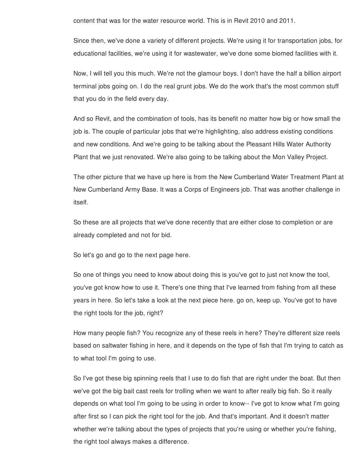content that was for the water resource world. This is in Revit 2010 and 2011.

Since then, we've done a variety of different projects. We're using it for transportation jobs, for educational facilities, we're using it for wastewater, we've done some biomed facilities with it.

Now, I will tell you this much. We're not the glamour boys. I don't have the half a billion airport terminal jobs going on. I do the real grunt jobs. We do the work that's the most common stuff that you do in the field every day.

And so Revit, and the combination of tools, has its benefit no matter how big or how small the job is. The couple of particular jobs that we're highlighting, also address existing conditions and new conditions. And we're going to be talking about the Pleasant Hills Water Authority Plant that we just renovated. We're also going to be talking about the Mon Valley Project.

The other picture that we have up here is from the New Cumberland Water Treatment Plant at New Cumberland Army Base. It was a Corps of Engineers job. That was another challenge in itself.

So these are all projects that we've done recently that are either close to completion or are already completed and not for bid.

So let's go and go to the next page here.

So one of things you need to know about doing this is you've got to just not know the tool, you've got know how to use it. There's one thing that I've learned from fishing from all these years in here. So let's take a look at the next piece here. go on, keep up. You've got to have the right tools for the job, right?

How many people fish? You recognize any of these reels in here? They're different size reels based on saltwater fishing in here, and it depends on the type of fish that I'm trying to catch as to what tool I'm going to use.

So I've got these big spinning reels that I use to do fish that are right under the boat. But then we've got the big bait cast reels for trolling when we want to after really big fish. So it really depends on what tool I'm going to be using in order to know-- I've got to know what I'm going after first so I can pick the right tool for the job. And that's important. And it doesn't matter whether we're talking about the types of projects that you're using or whether you're fishing, the right tool always makes a difference.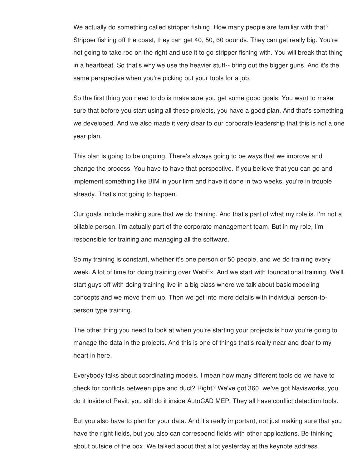We actually do something called stripper fishing. How many people are familiar with that? Stripper fishing off the coast, they can get 40, 50, 60 pounds. They can get really big. You're not going to take rod on the right and use it to go stripper fishing with. You will break that thing in a heartbeat. So that's why we use the heavier stuff-- bring out the bigger guns. And it's the same perspective when you're picking out your tools for a job.

So the first thing you need to do is make sure you get some good goals. You want to make sure that before you start using all these projects, you have a good plan. And that's something we developed. And we also made it very clear to our corporate leadership that this is not a one year plan.

This plan is going to be ongoing. There's always going to be ways that we improve and change the process. You have to have that perspective. If you believe that you can go and implement something like BIM in your firm and have it done in two weeks, you're in trouble already. That's not going to happen.

Our goals include making sure that we do training. And that's part of what my role is. I'm not a billable person. I'm actually part of the corporate management team. But in my role, I'm responsible for training and managing all the software.

So my training is constant, whether it's one person or 50 people, and we do training every week. A lot of time for doing training over WebEx. And we start with foundational training. We'll start guys off with doing training live in a big class where we talk about basic modeling concepts and we move them up. Then we get into more details with individual person-toperson type training.

The other thing you need to look at when you're starting your projects is how you're going to manage the data in the projects. And this is one of things that's really near and dear to my heart in here.

Everybody talks about coordinating models. I mean how many different tools do we have to check for conflicts between pipe and duct? Right? We've got 360, we've got Navisworks, you do it inside of Revit, you still do it inside AutoCAD MEP. They all have conflict detection tools.

But you also have to plan for your data. And it's really important, not just making sure that you have the right fields, but you also can correspond fields with other applications. Be thinking about outside of the box. We talked about that a lot yesterday at the keynote address.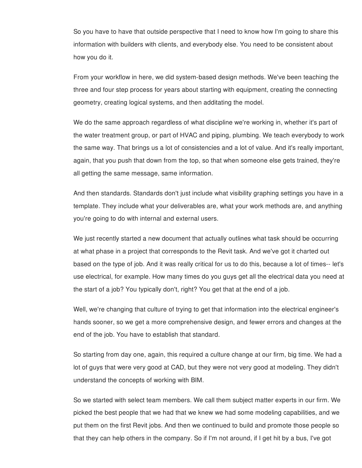So you have to have that outside perspective that I need to know how I'm going to share this information with builders with clients, and everybody else. You need to be consistent about how you do it.

From your workflow in here, we did system-based design methods. We've been teaching the three and four step process for years about starting with equipment, creating the connecting geometry, creating logical systems, and then additating the model.

We do the same approach regardless of what discipline we're working in, whether it's part of the water treatment group, or part of HVAC and piping, plumbing. We teach everybody to work the same way. That brings us a lot of consistencies and a lot of value. And it's really important, again, that you push that down from the top, so that when someone else gets trained, they're all getting the same message, same information.

And then standards. Standards don't just include what visibility graphing settings you have in a template. They include what your deliverables are, what your work methods are, and anything you're going to do with internal and external users.

We just recently started a new document that actually outlines what task should be occurring at what phase in a project that corresponds to the Revit task. And we've got it charted out based on the type of job. And it was really critical for us to do this, because a lot of times-- let's use electrical, for example. How many times do you guys get all the electrical data you need at the start of a job? You typically don't, right? You get that at the end of a job.

Well, we're changing that culture of trying to get that information into the electrical engineer's hands sooner, so we get a more comprehensive design, and fewer errors and changes at the end of the job. You have to establish that standard.

So starting from day one, again, this required a culture change at our firm, big time. We had a lot of guys that were very good at CAD, but they were not very good at modeling. They didn't understand the concepts of working with BIM.

So we started with select team members. We call them subject matter experts in our firm. We picked the best people that we had that we knew we had some modeling capabilities, and we put them on the first Revit jobs. And then we continued to build and promote those people so that they can help others in the company. So if I'm not around, if I get hit by a bus, I've got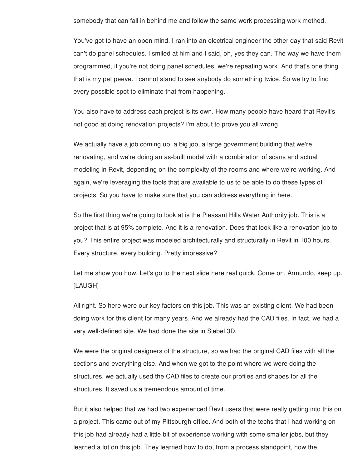somebody that can fall in behind me and follow the same work processing work method.

You've got to have an open mind. I ran into an electrical engineer the other day that said Revit can't do panel schedules. I smiled at him and I said, oh, yes they can. The way we have them programmed, if you're not doing panel schedules, we're repeating work. And that's one thing that is my pet peeve. I cannot stand to see anybody do something twice. So we try to find every possible spot to eliminate that from happening.

You also have to address each project is its own. How many people have heard that Revit's not good at doing renovation projects? I'm about to prove you all wrong.

We actually have a job coming up, a big job, a large government building that we're renovating, and we're doing an as-built model with a combination of scans and actual modeling in Revit, depending on the complexity of the rooms and where we're working. And again, we're leveraging the tools that are available to us to be able to do these types of projects. So you have to make sure that you can address everything in here.

So the first thing we're going to look at is the Pleasant Hills Water Authority job. This is a project that is at 95% complete. And it is a renovation. Does that look like a renovation job to you? This entire project was modeled architecturally and structurally in Revit in 100 hours. Every structure, every building. Pretty impressive?

Let me show you how. Let's go to the next slide here real quick. Come on, Armundo, keep up. [LAUGH]

All right. So here were our key factors on this job. This was an existing client. We had been doing work for this client for many years. And we already had the CAD files. In fact, we had a very well-defined site. We had done the site in Siebel 3D.

We were the original designers of the structure, so we had the original CAD files with all the sections and everything else. And when we got to the point where we were doing the structures, we actually used the CAD files to create our profiles and shapes for all the structures. It saved us a tremendous amount of time.

But it also helped that we had two experienced Revit users that were really getting into this on a project. This came out of my Pittsburgh office. And both of the techs that I had working on this job had already had a little bit of experience working with some smaller jobs, but they learned a lot on this job. They learned how to do, from a process standpoint, how the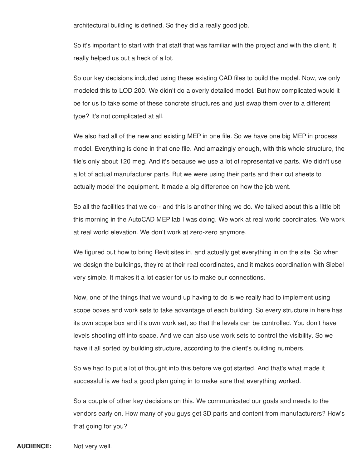architectural building is defined. So they did a really good job.

So it's important to start with that staff that was familiar with the project and with the client. It really helped us out a heck of a lot.

So our key decisions included using these existing CAD files to build the model. Now, we only modeled this to LOD 200. We didn't do a overly detailed model. But how complicated would it be for us to take some of these concrete structures and just swap them over to a different type? It's not complicated at all.

We also had all of the new and existing MEP in one file. So we have one big MEP in process model. Everything is done in that one file. And amazingly enough, with this whole structure, the file's only about 120 meg. And it's because we use a lot of representative parts. We didn't use a lot of actual manufacturer parts. But we were using their parts and their cut sheets to actually model the equipment. It made a big difference on how the job went.

So all the facilities that we do-- and this is another thing we do. We talked about this a little bit this morning in the AutoCAD MEP lab I was doing. We work at real world coordinates. We work at real world elevation. We don't work at zero-zero anymore.

We figured out how to bring Revit sites in, and actually get everything in on the site. So when we design the buildings, they're at their real coordinates, and it makes coordination with Siebel very simple. It makes it a lot easier for us to make our connections.

Now, one of the things that we wound up having to do is we really had to implement using scope boxes and work sets to take advantage of each building. So every structure in here has its own scope box and it's own work set, so that the levels can be controlled. You don't have levels shooting off into space. And we can also use work sets to control the visibility. So we have it all sorted by building structure, according to the client's building numbers.

So we had to put a lot of thought into this before we got started. And that's what made it successful is we had a good plan going in to make sure that everything worked.

So a couple of other key decisions on this. We communicated our goals and needs to the vendors early on. How many of you guys get 3D parts and content from manufacturers? How's that going for you?

**AUDIENCE:** Not very well.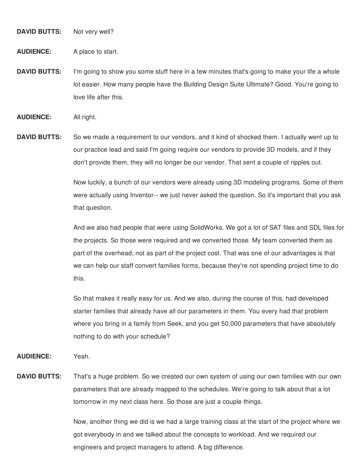**DAVID BUTTS:** Not very well?

**AUDIENCE:** A place to start.

**DAVID BUTTS:** I'm going to show you some stuff here in a few minutes that's going to make your life a whole lot easier. How many people have the Building Design Suite Ultimate? Good. You're going to love life after this.

**AUDIENCE:** All right.

**DAVID BUTTS:** So we made a requirement to our vendors, and it kind of shocked them. I actually went up to our practice lead and said I'm going require our vendors to provide 3D models, and if they don't provide them, they will no longer be our vendor. That sent a couple of ripples out.

> Now luckily, a bunch of our vendors were already using 3D modeling programs. Some of them were actually using Inventor-- we just never asked the question. So it's important that you ask that question.

> And we also had people that were using SolidWorks. We got a lot of SAT files and SDL files for the projects. So those were required and we converted those. My team converted them as part of the overhead, not as part of the project cost. That was one of our advantages is that we can help our staff convert families forms, because they're not spending project time to do this.

So that makes it really easy for us. And we also, during the course of this, had developed starter families that already have all our parameters in them. You every had that problem where you bring in a family from Seek, and you get 50,000 parameters that have absolutely nothing to do with your schedule?

**AUDIENCE:** Yeah.

**DAVID BUTTS:** That's a huge problem. So we created our own system of using our own families with our own parameters that are already mapped to the schedules. We're going to talk about that a lot tomorrow in my next class here. So those are just a couple things.

> Now, another thing we did is we had a large training class at the start of the project where we got everybody in and we talked about the concepts to workload. And we required our engineers and project managers to attend. A big difference.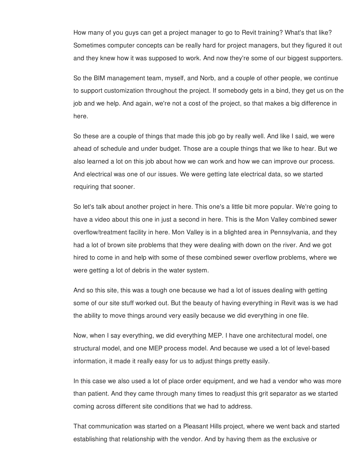How many of you guys can get a project manager to go to Revit training? What's that like? Sometimes computer concepts can be really hard for project managers, but they figured it out and they knew how it was supposed to work. And now they're some of our biggest supporters.

So the BIM management team, myself, and Norb, and a couple of other people, we continue to support customization throughout the project. If somebody gets in a bind, they get us on the job and we help. And again, we're not a cost of the project, so that makes a big difference in here.

So these are a couple of things that made this job go by really well. And like I said, we were ahead of schedule and under budget. Those are a couple things that we like to hear. But we also learned a lot on this job about how we can work and how we can improve our process. And electrical was one of our issues. We were getting late electrical data, so we started requiring that sooner.

So let's talk about another project in here. This one's a little bit more popular. We're going to have a video about this one in just a second in here. This is the Mon Valley combined sewer overflow/treatment facility in here. Mon Valley is in a blighted area in Pennsylvania, and they had a lot of brown site problems that they were dealing with down on the river. And we got hired to come in and help with some of these combined sewer overflow problems, where we were getting a lot of debris in the water system.

And so this site, this was a tough one because we had a lot of issues dealing with getting some of our site stuff worked out. But the beauty of having everything in Revit was is we had the ability to move things around very easily because we did everything in one file.

Now, when I say everything, we did everything MEP. I have one architectural model, one structural model, and one MEP process model. And because we used a lot of level-based information, it made it really easy for us to adjust things pretty easily.

In this case we also used a lot of place order equipment, and we had a vendor who was more than patient. And they came through many times to readjust this grit separator as we started coming across different site conditions that we had to address.

That communication was started on a Pleasant Hills project, where we went back and started establishing that relationship with the vendor. And by having them as the exclusive or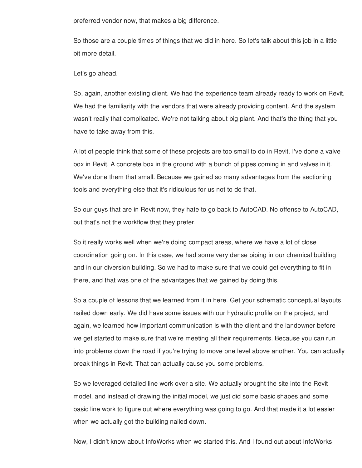preferred vendor now, that makes a big difference.

So those are a couple times of things that we did in here. So let's talk about this job in a little bit more detail.

Let's go ahead.

So, again, another existing client. We had the experience team already ready to work on Revit. We had the familiarity with the vendors that were already providing content. And the system wasn't really that complicated. We're not talking about big plant. And that's the thing that you have to take away from this.

A lot of people think that some of these projects are too small to do in Revit. I've done a valve box in Revit. A concrete box in the ground with a bunch of pipes coming in and valves in it. We've done them that small. Because we gained so many advantages from the sectioning tools and everything else that it's ridiculous for us not to do that.

So our guys that are in Revit now, they hate to go back to AutoCAD. No offense to AutoCAD, but that's not the workflow that they prefer.

So it really works well when we're doing compact areas, where we have a lot of close coordination going on. In this case, we had some very dense piping in our chemical building and in our diversion building. So we had to make sure that we could get everything to fit in there, and that was one of the advantages that we gained by doing this.

So a couple of lessons that we learned from it in here. Get your schematic conceptual layouts nailed down early. We did have some issues with our hydraulic profile on the project, and again, we learned how important communication is with the client and the landowner before we get started to make sure that we're meeting all their requirements. Because you can run into problems down the road if you're trying to move one level above another. You can actually break things in Revit. That can actually cause you some problems.

So we leveraged detailed line work over a site. We actually brought the site into the Revit model, and instead of drawing the initial model, we just did some basic shapes and some basic line work to figure out where everything was going to go. And that made it a lot easier when we actually got the building nailed down.

Now, I didn't know about InfoWorks when we started this. And I found out about InfoWorks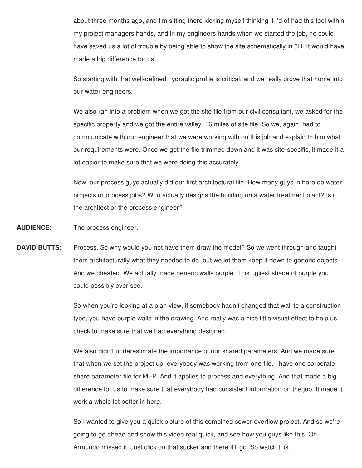about three months ago, and I'm sitting there kicking myself thinking if I'd of had this tool within my project managers hands, and in my engineers hands when we started the job, he could have saved us a lot of trouble by being able to show the site schematically in 3D. It would have made a big difference for us.

So starting with that well-defined hydraulic profile is critical, and we really drove that home into our water engineers.

We also ran into a problem when we got the site file from our civil consultant, we asked for the specific property and we got the entire valley. 16 miles of site file. So we, again, had to communicate with our engineer that we were working with on this job and explain to him what our requirements were. Once we got the file trimmed down and it was site-specific, it made it a lot easier to make sure that we were doing this accurately.

Now, our process guys actually did our first architectural file. How many guys in here do water projects or process jobs? Who actually designs the building on a water treatment plant? Is it the architect or the process engineer?

**AUDIENCE:** The process engineer.

**DAVID BUTTS:** Process. So why would you not have them draw the model? So we went through and taught them architecturally what they needed to do, but we let them keep it down to generic objects. And we cheated. We actually made generic walls purple. This ugliest shade of purple you could possibly ever see.

> So when you're looking at a plan view, if somebody hadn't changed that wall to a construction type, you have purple walls in the drawing. And really was a nice little visual effect to help us check to make sure that we had everything designed.

> We also didn't underestimate the importance of our shared parameters. And we made sure that when we set the project up, everybody was working from one file. I have one corporate share parameter file for MEP. And it applies to process and everything. And that made a big difference for us to make sure that everybody had consistent information on the job. It made it work a whole lot better in here.

> So I wanted to give you a quick picture of this combined sewer overflow project. And so we're going to go ahead and show this video real quick, and see how you guys like this. Oh, Armundo missed it. Just click on that sucker and there it'll go. So watch this.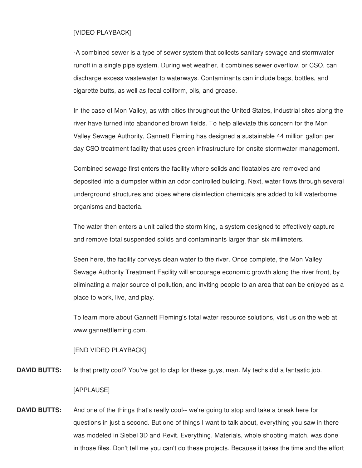#### [VIDEO PLAYBACK]

-A combined sewer is a type of sewer system that collects sanitary sewage and stormwater runoff in a single pipe system. During wet weather, it combines sewer overflow, or CSO, can discharge excess wastewater to waterways. Contaminants can include bags, bottles, and cigarette butts, as well as fecal coliform, oils, and grease.

In the case of Mon Valley, as with cities throughout the United States, industrial sites along the river have turned into abandoned brown fields. To help alleviate this concern for the Mon Valley Sewage Authority, Gannett Fleming has designed a sustainable 44 million gallon per day CSO treatment facility that uses green infrastructure for onsite stormwater management.

Combined sewage first enters the facility where solids and floatables are removed and deposited into a dumpster within an odor controlled building. Next, water flows through several underground structures and pipes where disinfection chemicals are added to kill waterborne organisms and bacteria.

The water then enters a unit called the storm king, a system designed to effectively capture and remove total suspended solids and contaminants larger than six millimeters.

Seen here, the facility conveys clean water to the river. Once complete, the Mon Valley Sewage Authority Treatment Facility will encourage economic growth along the river front, by eliminating a major source of pollution, and inviting people to an area that can be enjoyed as a place to work, live, and play.

To learn more about Gannett Fleming's total water resource solutions, visit us on the web at www.gannettfleming.com.

#### [END VIDEO PLAYBACK]

**DAVID BUTTS:** Is that pretty cool? You've got to clap for these guys, man. My techs did a fantastic job.

#### [APPLAUSE]

**DAVID BUTTS:** And one of the things that's really cool-- we're going to stop and take a break here for questions in just a second. But one of things I want to talk about, everything you saw in there was modeled in Siebel 3D and Revit. Everything. Materials, whole shooting match, was done in those files. Don't tell me you can't do these projects. Because it takes the time and the effort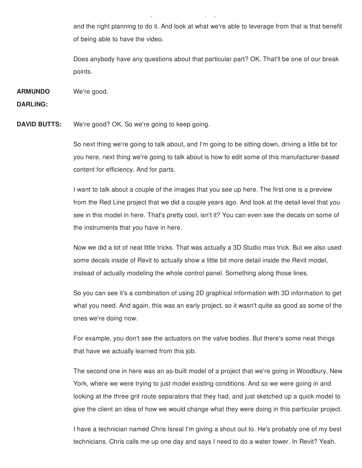and the right planning to do it. And look at what we're able to leverage from that is that benefit of being able to have the video.

in those files. Don't tell me you can't do these projects. Because it takes the time and the effort

Does anybody have any questions about that particular part? OK. That'll be one of our break points.

**ARMUNDO** We're good.

**DARLING:**

**DAVID BUTTS:** We're good? OK. So we're going to keep going.

So next thing we're going to talk about, and I'm going to be sitting down, driving a little bit for you here, next thing we're going to talk about is how to edit some of this manufacturer-based content for efficiency. And for parts.

I want to talk about a couple of the images that you see up here. The first one is a preview from the Red Line project that we did a couple years ago. And look at the detail level that you see in this model in here. That's pretty cool, isn't it? You can even see the decals on some of the instruments that you have in here.

Now we did a lot of neat little tricks. That was actually a 3D Studio max trick. But we also used some decals inside of Revit to actually show a little bit more detail inside the Revit model, instead of actually modeling the whole control panel. Something along those lines.

So you can see it's a combination of using 2D graphical information with 3D information to get what you need. And again, this was an early project, so it wasn't quite as good as some of the ones we're doing now.

For example, you don't see the actuators on the valve bodies. But there's some neat things that have we actually learned from this job.

The second one in here was an as-built model of a project that we're going in Woodbury, New York, where we were trying to just model existing conditions. And so we were going in and looking at the three grit route separators that they had, and just sketched up a quick model to give the client an idea of how we would change what they were doing in this particular project.

I have a technician named Chris Isreal I'm giving a shout out to. He's probably one of my best technicians. Chris calls me up one day and says I need to do a water tower. In Revit? Yeah.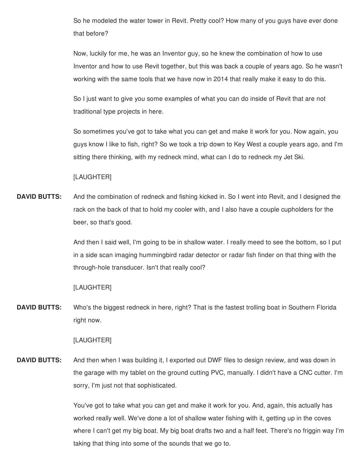So he modeled the water tower in Revit. Pretty cool? How many of you guys have ever done that before?

Now, luckily for me, he was an Inventor guy, so he knew the combination of how to use Inventor and how to use Revit together, but this was back a couple of years ago. So he wasn't working with the same tools that we have now in 2014 that really make it easy to do this.

So I just want to give you some examples of what you can do inside of Revit that are not traditional type projects in here.

So sometimes you've got to take what you can get and make it work for you. Now again, you guys know I like to fish, right? So we took a trip down to Key West a couple years ago, and I'm sitting there thinking, with my redneck mind, what can I do to redneck my Jet Ski.

# [LAUGHTER]

**DAVID BUTTS:** And the combination of redneck and fishing kicked in. So I went into Revit, and I designed the rack on the back of that to hold my cooler with, and I also have a couple cupholders for the beer, so that's good.

> And then I said well, I'm going to be in shallow water. I really meed to see the bottom, so I put in a side scan imaging hummingbird radar detector or radar fish finder on that thing with the through-hole transducer. Isn't that really cool?

# [LAUGHTER]

**DAVID BUTTS:** Who's the biggest redneck in here, right? That is the fastest trolling boat in Southern Florida right now.

#### [LAUGHTER]

**DAVID BUTTS:** And then when I was building it, I exported out DWF files to design review, and was down in the garage with my tablet on the ground cutting PVC, manually. I didn't have a CNC cutter. I'm sorry, I'm just not that sophisticated.

> You've got to take what you can get and make it work for you. And, again, this actually has worked really well. We've done a lot of shallow water fishing with it, getting up in the coves where I can't get my big boat. My big boat drafts two and a half feet. There's no friggin way I'm taking that thing into some of the sounds that we go to.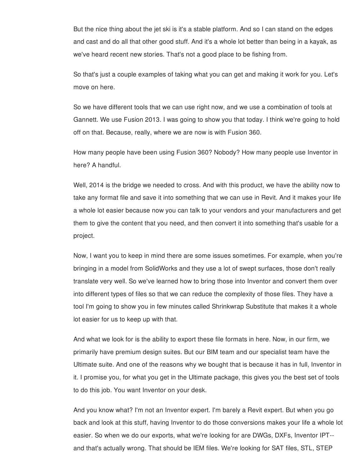But the nice thing about the jet ski is it's a stable platform. And so I can stand on the edges and cast and do all that other good stuff. And it's a whole lot better than being in a kayak, as we've heard recent new stories. That's not a good place to be fishing from.

So that's just a couple examples of taking what you can get and making it work for you. Let's move on here.

So we have different tools that we can use right now, and we use a combination of tools at Gannett. We use Fusion 2013. I was going to show you that today. I think we're going to hold off on that. Because, really, where we are now is with Fusion 360.

How many people have been using Fusion 360? Nobody? How many people use Inventor in here? A handful.

Well, 2014 is the bridge we needed to cross. And with this product, we have the ability now to take any format file and save it into something that we can use in Revit. And it makes your life a whole lot easier because now you can talk to your vendors and your manufacturers and get them to give the content that you need, and then convert it into something that's usable for a project.

Now, I want you to keep in mind there are some issues sometimes. For example, when you're bringing in a model from SolidWorks and they use a lot of swept surfaces, those don't really translate very well. So we've learned how to bring those into Inventor and convert them over into different types of files so that we can reduce the complexity of those files. They have a tool I'm going to show you in few minutes called Shrinkwrap Substitute that makes it a whole lot easier for us to keep up with that.

And what we look for is the ability to export these file formats in here. Now, in our firm, we primarily have premium design suites. But our BIM team and our specialist team have the Ultimate suite. And one of the reasons why we bought that is because it has in full, Inventor in it. I promise you, for what you get in the Ultimate package, this gives you the best set of tools to do this job. You want Inventor on your desk.

And you know what? I'm not an Inventor expert. I'm barely a Revit expert. But when you go back and look at this stuff, having Inventor to do those conversions makes your life a whole lot easier. So when we do our exports, what we're looking for are DWGs, DXFs, Inventor IPT- and that's actually wrong. That should be IEM files. We're looking for SAT files, STL, STEP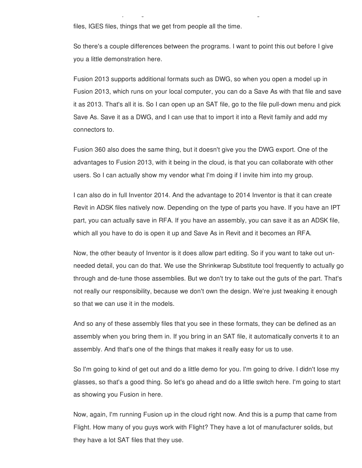files, IGES files, things that we get from people all the time.

So there's a couple differences between the programs. I want to point this out before I give you a little demonstration here.

and that's actually wrong. That should be IEM files. We're looking for SAT files, STL, STEP

Fusion 2013 supports additional formats such as DWG, so when you open a model up in Fusion 2013, which runs on your local computer, you can do a Save As with that file and save it as 2013. That's all it is. So I can open up an SAT file, go to the file pull-down menu and pick Save As. Save it as a DWG, and I can use that to import it into a Revit family and add my connectors to.

Fusion 360 also does the same thing, but it doesn't give you the DWG export. One of the advantages to Fusion 2013, with it being in the cloud, is that you can collaborate with other users. So I can actually show my vendor what I'm doing if I invite him into my group.

I can also do in full Inventor 2014. And the advantage to 2014 Inventor is that it can create Revit in ADSK files natively now. Depending on the type of parts you have. If you have an IPT part, you can actually save in RFA. If you have an assembly, you can save it as an ADSK file, which all you have to do is open it up and Save As in Revit and it becomes an RFA.

Now, the other beauty of Inventor is it does allow part editing. So if you want to take out unneeded detail, you can do that. We use the Shrinkwrap Substitute tool frequently to actually go through and de-tune those assemblies. But we don't try to take out the guts of the part. That's not really our responsibility, because we don't own the design. We're just tweaking it enough so that we can use it in the models.

And so any of these assembly files that you see in these formats, they can be defined as an assembly when you bring them in. If you bring in an SAT file, it automatically converts it to an assembly. And that's one of the things that makes it really easy for us to use.

So I'm going to kind of get out and do a little demo for you. I'm going to drive. I didn't lose my glasses, so that's a good thing. So let's go ahead and do a little switch here. I'm going to start as showing you Fusion in here.

Now, again, I'm running Fusion up in the cloud right now. And this is a pump that came from Flight. How many of you guys work with Flight? They have a lot of manufacturer solids, but they have a lot SAT files that they use.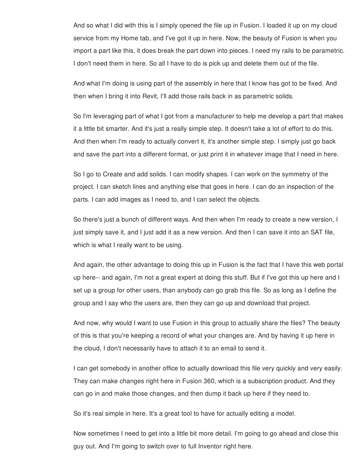And so what I did with this is I simply opened the file up in Fusion. I loaded it up on my cloud service from my Home tab, and I've got it up in here. Now, the beauty of Fusion is when you import a part like this, it does break the part down into pieces. I need my rails to be parametric. I don't need them in here. So all I have to do is pick up and delete them out of the file.

And what I'm doing is using part of the assembly in here that I know has got to be fixed. And then when I bring it into Revit, I'll add those rails back in as parametric solids.

So I'm leveraging part of what I got from a manufacturer to help me develop a part that makes it a little bit smarter. And it's just a really simple step. It doesn't take a lot of effort to do this. And then when I'm ready to actually convert it, it's another simple step. I simply just go back and save the part into a different format, or just print it in whatever image that I need in here.

So I go to Create and add solids. I can modify shapes. I can work on the symmetry of the project. I can sketch lines and anything else that goes in here. I can do an inspection of the parts. I can add images as I need to, and I can select the objects.

So there's just a bunch of different ways. And then when I'm ready to create a new version, I just simply save it, and I just add it as a new version. And then I can save it into an SAT file, which is what I really want to be using.

And again, the other advantage to doing this up in Fusion is the fact that I have this web portal up here-- and again, I'm not a great expert at doing this stuff. But if I've got this up here and I set up a group for other users, than anybody can go grab this file. So as long as I define the group and I say who the users are, then they can go up and download that project.

And now, why would I want to use Fusion in this group to actually share the files? The beauty of this is that you're keeping a record of what your changes are. And by having it up here in the cloud, I don't necessarily have to attach it to an email to send it.

I can get somebody in another office to actually download this file very quickly and very easily. They can make changes right here in Fusion 360, which is a subscription product. And they can go in and make those changes, and then dump it back up here if they need to.

So it's real simple in here. It's a great tool to have for actually editing a model.

Now sometimes I need to get into a little bit more detail. I'm going to go ahead and close this guy out. And I'm going to switch over to full Inventor right here.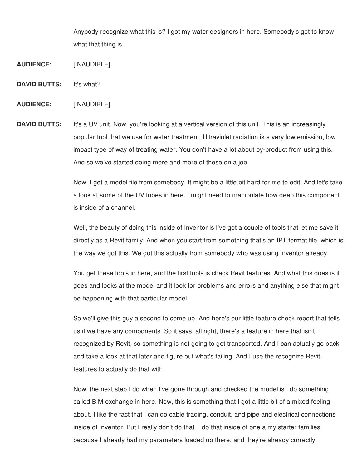Anybody recognize what this is? I got my water designers in here. Somebody's got to know what that thing is.

- **AUDIENCE:** [INAUDIBLE].
- **DAVID BUTTS:** It's what?
- **AUDIENCE:** [INAUDIBLE].
- **DAVID BUTTS:** It's a UV unit. Now, you're looking at a vertical version of this unit. This is an increasingly popular tool that we use for water treatment. Ultraviolet radiation is a very low emission, low impact type of way of treating water. You don't have a lot about by-product from using this. And so we've started doing more and more of these on a job.

Now, I get a model file from somebody. It might be a little bit hard for me to edit. And let's take a look at some of the UV tubes in here. I might need to manipulate how deep this component is inside of a channel.

Well, the beauty of doing this inside of Inventor is I've got a couple of tools that let me save it directly as a Revit family. And when you start from something that's an IPT format file, which is the way we got this. We got this actually from somebody who was using Inventor already.

You get these tools in here, and the first tools is check Revit features. And what this does is it goes and looks at the model and it look for problems and errors and anything else that might be happening with that particular model.

So we'll give this guy a second to come up. And here's our little feature check report that tells us if we have any components. So it says, all right, there's a feature in here that isn't recognized by Revit, so something is not going to get transported. And I can actually go back and take a look at that later and figure out what's failing. And I use the recognize Revit features to actually do that with.

Now, the next step I do when I've gone through and checked the model is I do something called BIM exchange in here. Now, this is something that I got a little bit of a mixed feeling about. I like the fact that I can do cable trading, conduit, and pipe and electrical connections inside of Inventor. But I really don't do that. I do that inside of one a my starter families, because I already had my parameters loaded up there, and they're already correctly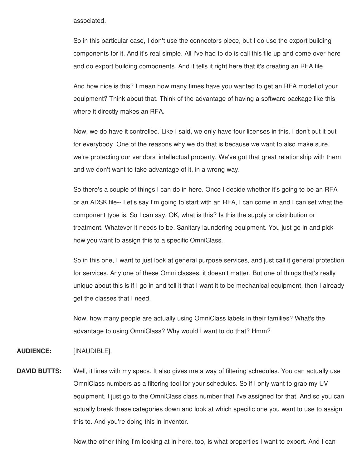#### associated.

So in this particular case, I don't use the connectors piece, but I do use the export building components for it. And it's real simple. All I've had to do is call this file up and come over here and do export building components. And it tells it right here that it's creating an RFA file.

And how nice is this? I mean how many times have you wanted to get an RFA model of your equipment? Think about that. Think of the advantage of having a software package like this where it directly makes an RFA.

Now, we do have it controlled. Like I said, we only have four licenses in this. I don't put it out for everybody. One of the reasons why we do that is because we want to also make sure we're protecting our vendors' intellectual property. We've got that great relationship with them and we don't want to take advantage of it, in a wrong way.

So there's a couple of things I can do in here. Once I decide whether it's going to be an RFA or an ADSK file-- Let's say I'm going to start with an RFA, I can come in and I can set what the component type is. So I can say, OK, what is this? Is this the supply or distribution or treatment. Whatever it needs to be. Sanitary laundering equipment. You just go in and pick how you want to assign this to a specific OmniClass.

So in this one, I want to just look at general purpose services, and just call it general protection for services. Any one of these Omni classes, it doesn't matter. But one of things that's really unique about this is if I go in and tell it that I want it to be mechanical equipment, then I already get the classes that I need.

Now, how many people are actually using OmniClass labels in their families? What's the advantage to using OmniClass? Why would I want to do that? Hmm?

# **AUDIENCE:** [INAUDIBLE].

**DAVID BUTTS:** Well, it lines with my specs. It also gives me a way of filtering schedules. You can actually use OmniClass numbers as a filtering tool for your schedules. So if I only want to grab my UV equipment, I just go to the OmniClass class number that I've assigned for that. And so you can actually break these categories down and look at which specific one you want to use to assign this to. And you're doing this in Inventor.

Now,the other thing I'm looking at in here, too, is what properties I want to export. And I can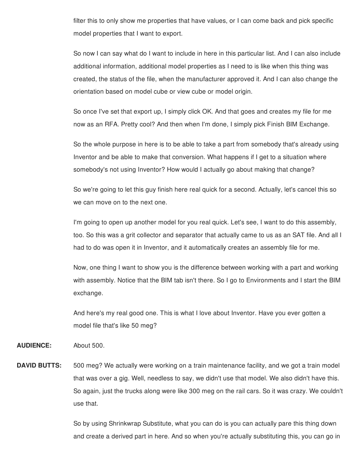filter this to only show me properties that have values, or I can come back and pick specific model properties that I want to export.

So now I can say what do I want to include in here in this particular list. And I can also include additional information, additional model properties as I need to is like when this thing was created, the status of the file, when the manufacturer approved it. And I can also change the orientation based on model cube or view cube or model origin.

So once I've set that export up, I simply click OK. And that goes and creates my file for me now as an RFA. Pretty cool? And then when I'm done, I simply pick Finish BIM Exchange.

So the whole purpose in here is to be able to take a part from somebody that's already using Inventor and be able to make that conversion. What happens if I get to a situation where somebody's not using Inventor? How would I actually go about making that change?

So we're going to let this guy finish here real quick for a second. Actually, let's cancel this so we can move on to the next one.

I'm going to open up another model for you real quick. Let's see, I want to do this assembly, too. So this was a grit collector and separator that actually came to us as an SAT file. And all I had to do was open it in Inventor, and it automatically creates an assembly file for me.

Now, one thing I want to show you is the difference between working with a part and working with assembly. Notice that the BIM tab isn't there. So I go to Environments and I start the BIM exchange.

And here's my real good one. This is what I love about Inventor. Have you ever gotten a model file that's like 50 meg?

**AUDIENCE:** About 500.

**DAVID BUTTS:** 500 meg? We actually were working on a train maintenance facility, and we got a train model that was over a gig. Well, needless to say, we didn't use that model. We also didn't have this. So again, just the trucks along were like 300 meg on the rail cars. So it was crazy. We couldn't use that.

> So by using Shrinkwrap Substitute, what you can do is you can actually pare this thing down and create a derived part in here. And so when you're actually substituting this, you can go in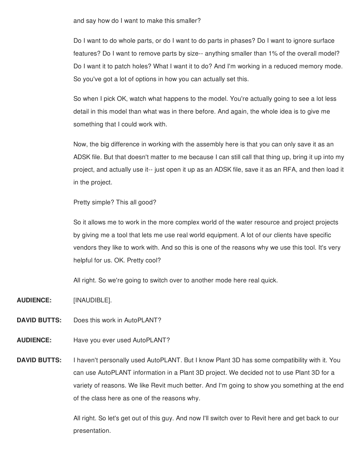and say how do I want to make this smaller?

Do I want to do whole parts, or do I want to do parts in phases? Do I want to ignore surface features? Do I want to remove parts by size-- anything smaller than 1% of the overall model? Do I want it to patch holes? What I want it to do? And I'm working in a reduced memory mode. So you've got a lot of options in how you can actually set this.

So when I pick OK, watch what happens to the model. You're actually going to see a lot less detail in this model than what was in there before. And again, the whole idea is to give me something that I could work with.

Now, the big difference in working with the assembly here is that you can only save it as an ADSK file. But that doesn't matter to me because I can still call that thing up, bring it up into my project, and actually use it-- just open it up as an ADSK file, save it as an RFA, and then load it in the project.

Pretty simple? This all good?

So it allows me to work in the more complex world of the water resource and project projects by giving me a tool that lets me use real world equipment. A lot of our clients have specific vendors they like to work with. And so this is one of the reasons why we use this tool. It's very helpful for us. OK. Pretty cool?

All right. So we're going to switch over to another mode here real quick.

**AUDIENCE:** [INAUDIBLE].

- **DAVID BUTTS:** Does this work in AutoPLANT?
- **AUDIENCE:** Have you ever used AutoPLANT?
- **DAVID BUTTS:** I haven't personally used AutoPLANT. But I know Plant 3D has some compatibility with it. You can use AutoPLANT information in a Plant 3D project. We decided not to use Plant 3D for a variety of reasons. We like Revit much better. And I'm going to show you something at the end of the class here as one of the reasons why.

All right. So let's get out of this guy. And now I'll switch over to Revit here and get back to our presentation.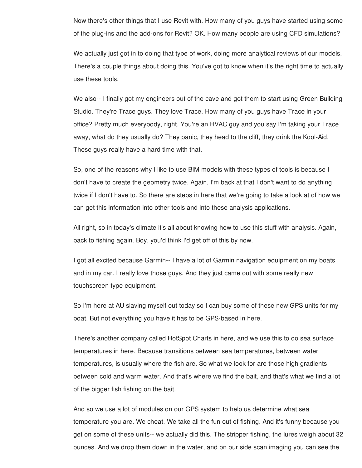Now there's other things that I use Revit with. How many of you guys have started using some of the plug-ins and the add-ons for Revit? OK. How many people are using CFD simulations?

We actually just got in to doing that type of work, doing more analytical reviews of our models. There's a couple things about doing this. You've got to know when it's the right time to actually use these tools.

We also-- I finally got my engineers out of the cave and got them to start using Green Building Studio. They're Trace guys. They love Trace. How many of you guys have Trace in your office? Pretty much everybody, right. You're an HVAC guy and you say I'm taking your Trace away, what do they usually do? They panic, they head to the cliff, they drink the Kool-Aid. These guys really have a hard time with that.

So, one of the reasons why I like to use BIM models with these types of tools is because I don't have to create the geometry twice. Again, I'm back at that I don't want to do anything twice if I don't have to. So there are steps in here that we're going to take a look at of how we can get this information into other tools and into these analysis applications.

All right, so in today's climate it's all about knowing how to use this stuff with analysis. Again, back to fishing again. Boy, you'd think I'd get off of this by now.

I got all excited because Garmin-- I have a lot of Garmin navigation equipment on my boats and in my car. I really love those guys. And they just came out with some really new touchscreen type equipment.

So I'm here at AU slaving myself out today so I can buy some of these new GPS units for my boat. But not everything you have it has to be GPS-based in here.

There's another company called HotSpot Charts in here, and we use this to do sea surface temperatures in here. Because transitions between sea temperatures, between water temperatures, is usually where the fish are. So what we look for are those high gradients between cold and warm water. And that's where we find the bait, and that's what we find a lot of the bigger fish fishing on the bait.

And so we use a lot of modules on our GPS system to help us determine what sea temperature you are. We cheat. We take all the fun out of fishing. And it's funny because you get on some of these units-- we actually did this. The stripper fishing, the lures weigh about 32 ounces. And we drop them down in the water, and on our side scan imaging you can see the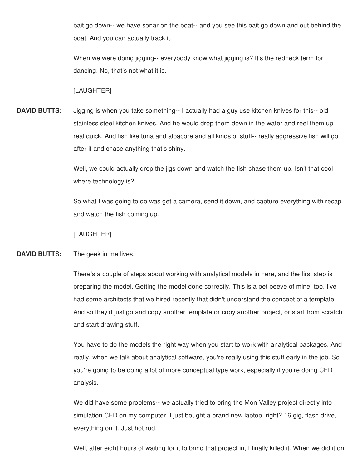bait go down-- we have sonar on the boat-- and you see this bait go down and out behind the boat. And you can actually track it.

When we were doing jigging-- everybody know what jigging is? It's the redneck term for dancing. No, that's not what it is.

### [LAUGHTER]

**DAVID BUTTS:** Jigging is when you take something-- I actually had a guy use kitchen knives for this-- old stainless steel kitchen knives. And he would drop them down in the water and reel them up real quick. And fish like tuna and albacore and all kinds of stuff-- really aggressive fish will go after it and chase anything that's shiny.

> Well, we could actually drop the jigs down and watch the fish chase them up. Isn't that cool where technology is?

So what I was going to do was get a camera, send it down, and capture everything with recap and watch the fish coming up.

[LAUGHTER]

### **DAVID BUTTS:** The geek in me lives.

There's a couple of steps about working with analytical models in here, and the first step is preparing the model. Getting the model done correctly. This is a pet peeve of mine, too. I've had some architects that we hired recently that didn't understand the concept of a template. And so they'd just go and copy another template or copy another project, or start from scratch and start drawing stuff.

You have to do the models the right way when you start to work with analytical packages. And really, when we talk about analytical software, you're really using this stuff early in the job. So you're going to be doing a lot of more conceptual type work, especially if you're doing CFD analysis.

We did have some problems-- we actually tried to bring the Mon Valley project directly into simulation CFD on my computer. I just bought a brand new laptop, right? 16 gig, flash drive, everything on it. Just hot rod.

Well, after eight hours of waiting for it to bring that project in, I finally killed it. When we did it on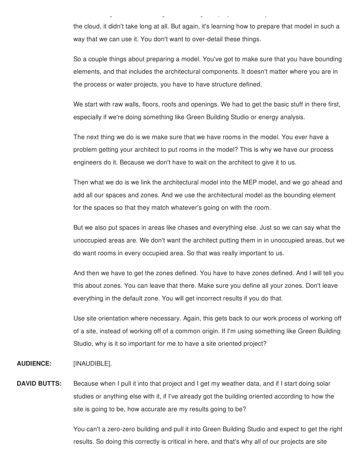the cloud, it didn't take long at all. But again, it's learning how to prepare that model in such a way that we can use it. You don't want to over-detail these things.

 $W_{\rm eff}$  after eight hours of waiting for it to bring that project in, I finally killed it. When we did it on

So a couple things about preparing a model. You've got to make sure that you have bounding elements, and that includes the architectural components. It doesn't matter where you are in the process or water projects, you have to have structure defined.

We start with raw walls, floors, roofs and openings. We had to get the basic stuff in there first, especially if we're doing something like Green Building Studio or energy analysis.

The next thing we do is we make sure that we have rooms in the model. You ever have a problem getting your architect to put rooms in the model? This is why we have our process engineers do it. Because we don't have to wait on the architect to give it to us.

Then what we do is we link the architectural model into the MEP model, and we go ahead and add all our spaces and zones. And we use the architectural model as the bounding element for the spaces so that they match whatever's going on with the room.

But we also put spaces in areas like chases and everything else. Just so we can say what the unoccupied areas are. We don't want the architect putting them in in unoccupied areas, but we do want rooms in every occupied area. So that was really important to us.

And then we have to get the zones defined. You have to have zones defined. And I will tell you this about zones. You can leave that there. Make sure you define all your zones. Don't leave everything in the default zone. You will get incorrect results if you do that.

Use site orientation where necessary. Again, this gets back to our work process of working off of a site, instead of working off of a common origin. If I'm using something like Green Building Studio, why is it so important for me to have a site oriented project?

### **AUDIENCE:** [INAUDIBLE].

**DAVID BUTTS:** Because when I pull it into that project and I get my weather data, and if I start doing solar studies or anything else with it, if I've already got the building oriented according to how the site is going to be, how accurate are my results going to be?

> You can't a zero-zero building and pull it into Green Building Studio and expect to get the right results. So doing this correctly is critical in here, and that's why all of our projects are site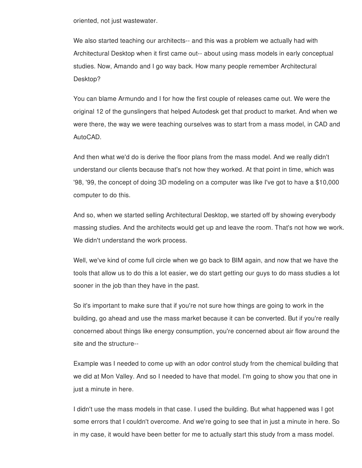oriented, not just wastewater.

We also started teaching our architects-- and this was a problem we actually had with Architectural Desktop when it first came out-- about using mass models in early conceptual studies. Now, Amando and I go way back. How many people remember Architectural Desktop?

You can blame Armundo and I for how the first couple of releases came out. We were the original 12 of the gunslingers that helped Autodesk get that product to market. And when we were there, the way we were teaching ourselves was to start from a mass model, in CAD and AutoCAD.

And then what we'd do is derive the floor plans from the mass model. And we really didn't understand our clients because that's not how they worked. At that point in time, which was '98, '99, the concept of doing 3D modeling on a computer was like I've got to have a \$10,000 computer to do this.

And so, when we started selling Architectural Desktop, we started off by showing everybody massing studies. And the architects would get up and leave the room. That's not how we work. We didn't understand the work process.

Well, we've kind of come full circle when we go back to BIM again, and now that we have the tools that allow us to do this a lot easier, we do start getting our guys to do mass studies a lot sooner in the job than they have in the past.

So it's important to make sure that if you're not sure how things are going to work in the building, go ahead and use the mass market because it can be converted. But if you're really concerned about things like energy consumption, you're concerned about air flow around the site and the structure--

Example was I needed to come up with an odor control study from the chemical building that we did at Mon Valley. And so I needed to have that model. I'm going to show you that one in just a minute in here.

I didn't use the mass models in that case. I used the building. But what happened was I got some errors that I couldn't overcome. And we're going to see that in just a minute in here. So in my case, it would have been better for me to actually start this study from a mass model.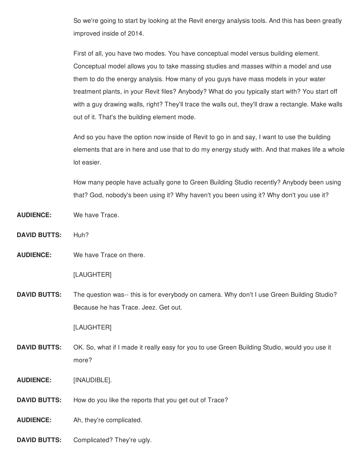So we're going to start by looking at the Revit energy analysis tools. And this has been greatly improved inside of 2014.

First of all, you have two modes. You have conceptual model versus building element. Conceptual model allows you to take massing studies and masses within a model and use them to do the energy analysis. How many of you guys have mass models in your water treatment plants, in your Revit files? Anybody? What do you typically start with? You start off with a guy drawing walls, right? They'll trace the walls out, they'll draw a rectangle. Make walls out of it. That's the building element mode.

And so you have the option now inside of Revit to go in and say, I want to use the building elements that are in here and use that to do my energy study with. And that makes life a whole lot easier.

How many people have actually gone to Green Building Studio recently? Anybody been using that? God, nobody's been using it? Why haven't you been using it? Why don't you use it?

- **AUDIENCE:** We have Trace.
- **DAVID BUTTS:** Huh?

**AUDIENCE:** We have Trace on there.

### [LAUGHTER]

**DAVID BUTTS:** The question was-- this is for everybody on camera. Why don't I use Green Building Studio? Because he has Trace. Jeez. Get out.

[LAUGHTER]

- **DAVID BUTTS:** OK. So, what if I made it really easy for you to use Green Building Studio, would you use it more?
- **AUDIENCE:** [INAUDIBLE].
- **DAVID BUTTS:** How do you like the reports that you get out of Trace?

**AUDIENCE:** Ah, they're complicated.

**DAVID BUTTS:** Complicated? They're ugly.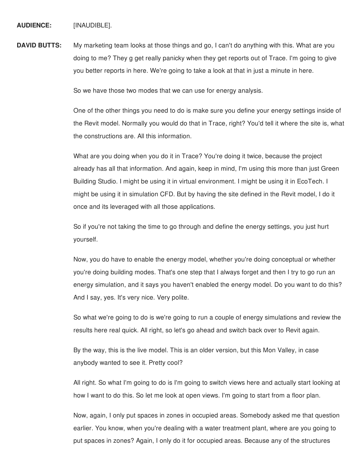**AUDIENCE:** [INAUDIBLE].

**DAVID BUTTS:** My marketing team looks at those things and go, I can't do anything with this. What are you doing to me? They g get really panicky when they get reports out of Trace. I'm going to give you better reports in here. We're going to take a look at that in just a minute in here.

So we have those two modes that we can use for energy analysis.

One of the other things you need to do is make sure you define your energy settings inside of the Revit model. Normally you would do that in Trace, right? You'd tell it where the site is, what the constructions are. All this information.

What are you doing when you do it in Trace? You're doing it twice, because the project already has all that information. And again, keep in mind, I'm using this more than just Green Building Studio. I might be using it in virtual environment. I might be using it in EcoTech. I might be using it in simulation CFD. But by having the site defined in the Revit model, I do it once and its leveraged with all those applications.

So if you're not taking the time to go through and define the energy settings, you just hurt yourself.

Now, you do have to enable the energy model, whether you're doing conceptual or whether you're doing building modes. That's one step that I always forget and then I try to go run an energy simulation, and it says you haven't enabled the energy model. Do you want to do this? And I say, yes. It's very nice. Very polite.

So what we're going to do is we're going to run a couple of energy simulations and review the results here real quick. All right, so let's go ahead and switch back over to Revit again.

By the way, this is the live model. This is an older version, but this Mon Valley, in case anybody wanted to see it. Pretty cool?

All right. So what I'm going to do is I'm going to switch views here and actually start looking at how I want to do this. So let me look at open views. I'm going to start from a floor plan.

Now, again, I only put spaces in zones in occupied areas. Somebody asked me that question earlier. You know, when you're dealing with a water treatment plant, where are you going to put spaces in zones? Again, I only do it for occupied areas. Because any of the structures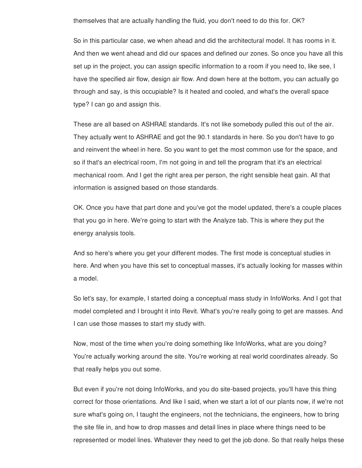themselves that are actually handling the fluid, you don't need to do this for. OK?

So in this particular case, we when ahead and did the architectural model. It has rooms in it. And then we went ahead and did our spaces and defined our zones. So once you have all this set up in the project, you can assign specific information to a room if you need to, like see, I have the specified air flow, design air flow. And down here at the bottom, you can actually go through and say, is this occupiable? Is it heated and cooled, and what's the overall space type? I can go and assign this.

These are all based on ASHRAE standards. It's not like somebody pulled this out of the air. They actually went to ASHRAE and got the 90.1 standards in here. So you don't have to go and reinvent the wheel in here. So you want to get the most common use for the space, and so if that's an electrical room, I'm not going in and tell the program that it's an electrical mechanical room. And I get the right area per person, the right sensible heat gain. All that information is assigned based on those standards.

OK. Once you have that part done and you've got the model updated, there's a couple places that you go in here. We're going to start with the Analyze tab. This is where they put the energy analysis tools.

And so here's where you get your different modes. The first mode is conceptual studies in here. And when you have this set to conceptual masses, it's actually looking for masses within a model.

So let's say, for example, I started doing a conceptual mass study in InfoWorks. And I got that model completed and I brought it into Revit. What's you're really going to get are masses. And I can use those masses to start my study with.

Now, most of the time when you're doing something like InfoWorks, what are you doing? You're actually working around the site. You're working at real world coordinates already. So that really helps you out some.

But even if you're not doing InfoWorks, and you do site-based projects, you'll have this thing correct for those orientations. And like I said, when we start a lot of our plants now, if we're not sure what's going on, I taught the engineers, not the technicians, the engineers, how to bring the site file in, and how to drop masses and detail lines in place where things need to be represented or model lines. Whatever they need to get the job done. So that really helps these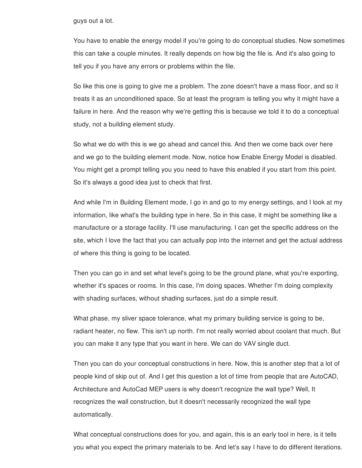guys out a lot.

You have to enable the energy model if you're going to do conceptual studies. Now sometimes this can take a couple minutes. It really depends on how big the file is. And it's also going to tell you if you have any errors or problems within the file.

So like this one is going to give me a problem. The zone doesn't have a mass floor, and so it treats it as an unconditioned space. So at least the program is telling you why it might have a failure in here. And the reason why we're getting this is because we told it to do a conceptual study, not a building element study.

So what we do with this is we go ahead and cancel this. And then we come back over here and we go to the building element mode. Now, notice how Enable Energy Model is disabled. You might get a prompt telling you you need to have this enabled if you start from this point. So it's always a good idea just to check that first.

And while I'm in Building Element mode, I go in and go to my energy settings, and I look at my information, like what's the building type in here. So in this case, it might be something like a manufacture or a storage facility. I'll use manufacturing. I can get the specific address on the site, which I love the fact that you can actually pop into the internet and get the actual address of where this thing is going to be located.

Then you can go in and set what level's going to be the ground plane, what you're exporting, whether it's spaces or rooms. In this case, I'm doing spaces. Whether I'm doing complexity with shading surfaces, without shading surfaces, just do a simple result.

What phase, my sliver space tolerance, what my primary building service is going to be, radiant heater, no flew. This isn't up north. I'm not really worried about coolant that much. But you can make it any type that you want in here. We can do VAV single duct.

Then you can do your conceptual constructions in here. Now, this is another step that a lot of people kind of skip out of. And I get this question a lot of time from people that are AutoCAD, Architecture and AutoCad MEP users is why doesn't recognize the wall type? Well, It recognizes the wall construction, but it doesn't necessarily recognized the wall type automatically.

What conceptual constructions does for you, and again, this is an early tool in here, is it tells you what you expect the primary materials to be. And let's say I have to do different iterations.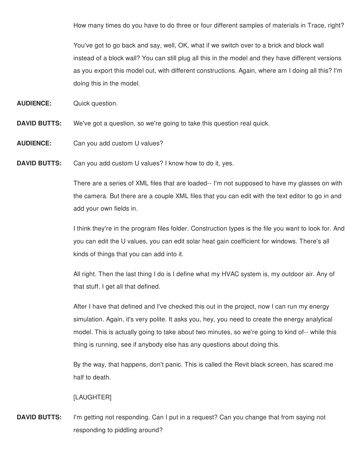How many times do you have to do three or four different samples of materials in Trace, right?

You've got to go back and say, well, OK, what if we switch over to a brick and block wall instead of a block wall? You can still plug all this in the model and they have different versions as you export this model out, with different constructions. Again, where am I doing all this? I'm doing this in the model.

**AUDIENCE:** Quick question.

- **DAVID BUTTS:** We've got a question, so we're going to take this question real quick.
- **AUDIENCE:** Can you add custom U values?

**DAVID BUTTS:** Can you add custom U values? I know how to do it, yes.

There are a series of XML files that are loaded-- I'm not supposed to have my glasses on with the camera. But there are a couple XML files that you can edit with the text editor to go in and add your own fields in.

I think they're in the program files folder. Construction types is the file you want to look for. And you can edit the U values, you can edit solar heat gain coefficient for windows. There's all kinds of things that you can add into it.

All right. Then the last thing I do is I define what my HVAC system is, my outdoor air. Any of that stuff. I get all that defined.

After I have that defined and I've checked this out in the project, now I can run my energy simulation. Again, it's very polite. It asks you, hey, you need to create the energy analytical model. This is actually going to take about two minutes, so we're going to kind of-- while this thing is running, see if anybody else has any questions about doing this.

By the way, that happens, don't panic. This is called the Revit black screen, has scared me half to death.

### [LAUGHTER]

**DAVID BUTTS:** I'm getting not responding. Can I put in a request? Can you change that from saying not responding to piddling around?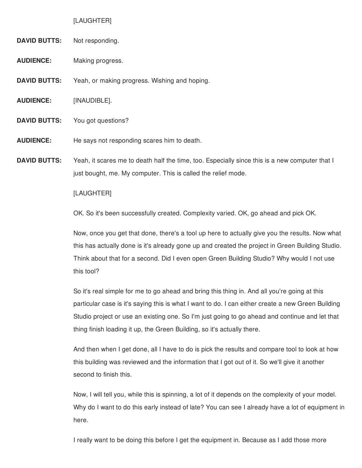#### [LAUGHTER]

- **DAVID BUTTS:** Not responding.
- **AUDIENCE:** Making progress.
- **DAVID BUTTS:** Yeah, or making progress. Wishing and hoping.
- **AUDIENCE:** [INAUDIBLE].
- **DAVID BUTTS:** You got questions?
- **AUDIENCE:** He says not responding scares him to death.
- **DAVID BUTTS:** Yeah, it scares me to death half the time, too. Especially since this is a new computer that I just bought, me. My computer. This is called the relief mode.

#### [LAUGHTER]

OK. So it's been successfully created. Complexity varied. OK, go ahead and pick OK.

Now, once you get that done, there's a tool up here to actually give you the results. Now what this has actually done is it's already gone up and created the project in Green Building Studio. Think about that for a second. Did I even open Green Building Studio? Why would I not use this tool?

So it's real simple for me to go ahead and bring this thing in. And all you're going at this particular case is it's saying this is what I want to do. I can either create a new Green Building Studio project or use an existing one. So I'm just going to go ahead and continue and let that thing finish loading it up, the Green Building, so it's actually there.

And then when I get done, all I have to do is pick the results and compare tool to look at how this building was reviewed and the information that I got out of it. So we'll give it another second to finish this.

Now, I will tell you, while this is spinning, a lot of it depends on the complexity of your model. Why do I want to do this early instead of late? You can see I already have a lot of equipment in here.

I really want to be doing this before I get the equipment in. Because as I add those more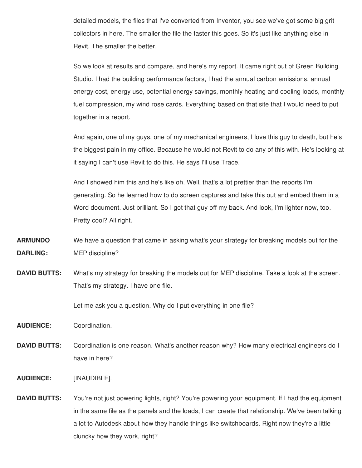detailed models, the files that I've converted from Inventor, you see we've got some big grit collectors in here. The smaller the file the faster this goes. So it's just like anything else in Revit. The smaller the better.

So we look at results and compare, and here's my report. It came right out of Green Building Studio. I had the building performance factors, I had the annual carbon emissions, annual energy cost, energy use, potential energy savings, monthly heating and cooling loads, monthly fuel compression, my wind rose cards. Everything based on that site that I would need to put together in a report.

And again, one of my guys, one of my mechanical engineers, I love this guy to death, but he's the biggest pain in my office. Because he would not Revit to do any of this with. He's looking at it saying I can't use Revit to do this. He says I'll use Trace.

And I showed him this and he's like oh. Well, that's a lot prettier than the reports I'm generating. So he learned how to do screen captures and take this out and embed them in a Word document. Just brilliant. So I got that guy off my back. And look, I'm lighter now, too. Pretty cool? All right.

- **ARMUNDO DARLING:** We have a question that came in asking what's your strategy for breaking models out for the MEP discipline?
- **DAVID BUTTS:** What's my strategy for breaking the models out for MEP discipline. Take a look at the screen. That's my strategy. I have one file.

Let me ask you a question. Why do I put everything in one file?

**AUDIENCE:** Coordination.

- **DAVID BUTTS:** Coordination is one reason. What's another reason why? How many electrical engineers do I have in here?
- **AUDIENCE:** [INAUDIBLE].
- **DAVID BUTTS:** You're not just powering lights, right? You're powering your equipment. If I had the equipment in the same file as the panels and the loads, I can create that relationship. We've been talking a lot to Autodesk about how they handle things like switchboards. Right now they're a little cluncky how they work, right?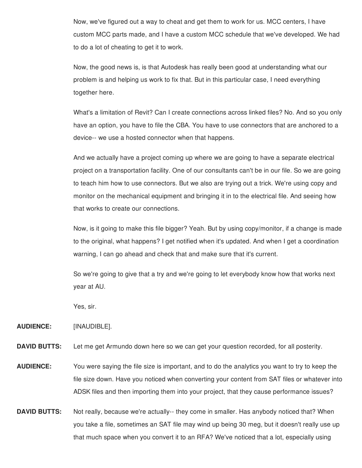Now, we've figured out a way to cheat and get them to work for us. MCC centers, I have custom MCC parts made, and I have a custom MCC schedule that we've developed. We had to do a lot of cheating to get it to work.

Now, the good news is, is that Autodesk has really been good at understanding what our problem is and helping us work to fix that. But in this particular case, I need everything together here.

What's a limitation of Revit? Can I create connections across linked files? No. And so you only have an option, you have to file the CBA. You have to use connectors that are anchored to a device-- we use a hosted connector when that happens.

And we actually have a project coming up where we are going to have a separate electrical project on a transportation facility. One of our consultants can't be in our file. So we are going to teach him how to use connectors. But we also are trying out a trick. We're using copy and monitor on the mechanical equipment and bringing it in to the electrical file. And seeing how that works to create our connections.

Now, is it going to make this file bigger? Yeah. But by using copy/monitor, if a change is made to the original, what happens? I get notified when it's updated. And when I get a coordination warning, I can go ahead and check that and make sure that it's current.

So we're going to give that a try and we're going to let everybody know how that works next year at AU.

Yes, sir.

**AUDIENCE:** [INAUDIBLE].

**DAVID BUTTS:** Let me get Armundo down here so we can get your question recorded, for all posterity.

- **AUDIENCE:** You were saying the file size is important, and to do the analytics you want to try to keep the file size down. Have you noticed when converting your content from SAT files or whatever into ADSK files and then importing them into your project, that they cause performance issues?
- **DAVID BUTTS:** Not really, because we're actually-- they come in smaller. Has anybody noticed that? When you take a file, sometimes an SAT file may wind up being 30 meg, but it doesn't really use up that much space when you convert it to an RFA? We've noticed that a lot, especially using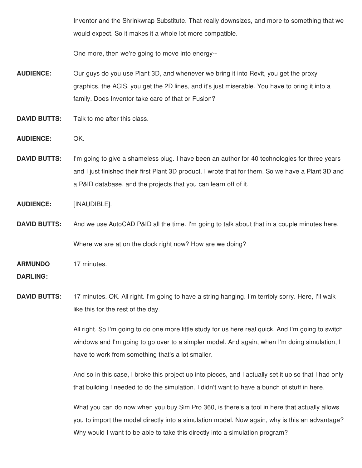Inventor and the Shrinkwrap Substitute. That really downsizes, and more to something that we would expect. So it makes it a whole lot more compatible.

One more, then we're going to move into energy--

**AUDIENCE:** Our guys do you use Plant 3D, and whenever we bring it into Revit, you get the proxy graphics, the ACIS, you get the 2D lines, and it's just miserable. You have to bring it into a family. Does Inventor take care of that or Fusion?

**DAVID BUTTS:** Talk to me after this class.

- **AUDIENCE:** OK.
- **DAVID BUTTS:** I'm going to give a shameless plug. I have been an author for 40 technologies for three years and I just finished their first Plant 3D product. I wrote that for them. So we have a Plant 3D and a P&ID database, and the projects that you can learn off of it.
- **AUDIENCE:** [INAUDIBLE].
- **DAVID BUTTS:** And we use AutoCAD P&ID all the time. I'm going to talk about that in a couple minutes here. Where we are at on the clock right now? How are we doing?

**ARMUNDO** 17 minutes.

# **DARLING:**

**DAVID BUTTS:** 17 minutes. OK. All right. I'm going to have a string hanging. I'm terribly sorry. Here, I'll walk like this for the rest of the day.

> All right. So I'm going to do one more little study for us here real quick. And I'm going to switch windows and I'm going to go over to a simpler model. And again, when I'm doing simulation, I have to work from something that's a lot smaller.

> And so in this case, I broke this project up into pieces, and I actually set it up so that I had only that building I needed to do the simulation. I didn't want to have a bunch of stuff in here.

> What you can do now when you buy Sim Pro 360, is there's a tool in here that actually allows you to import the model directly into a simulation model. Now again, why is this an advantage? Why would I want to be able to take this directly into a simulation program?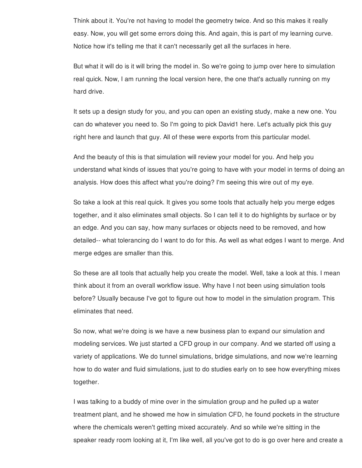Think about it. You're not having to model the geometry twice. And so this makes it really easy. Now, you will get some errors doing this. And again, this is part of my learning curve. Notice how it's telling me that it can't necessarily get all the surfaces in here.

But what it will do is it will bring the model in. So we're going to jump over here to simulation real quick. Now, I am running the local version here, the one that's actually running on my hard drive.

It sets up a design study for you, and you can open an existing study, make a new one. You can do whatever you need to. So I'm going to pick David1 here. Let's actually pick this guy right here and launch that guy. All of these were exports from this particular model.

And the beauty of this is that simulation will review your model for you. And help you understand what kinds of issues that you're going to have with your model in terms of doing an analysis. How does this affect what you're doing? I'm seeing this wire out of my eye.

So take a look at this real quick. It gives you some tools that actually help you merge edges together, and it also eliminates small objects. So I can tell it to do highlights by surface or by an edge. And you can say, how many surfaces or objects need to be removed, and how detailed-- what tolerancing do I want to do for this. As well as what edges I want to merge. And merge edges are smaller than this.

So these are all tools that actually help you create the model. Well, take a look at this. I mean think about it from an overall workflow issue. Why have I not been using simulation tools before? Usually because I've got to figure out how to model in the simulation program. This eliminates that need.

So now, what we're doing is we have a new business plan to expand our simulation and modeling services. We just started a CFD group in our company. And we started off using a variety of applications. We do tunnel simulations, bridge simulations, and now we're learning how to do water and fluid simulations, just to do studies early on to see how everything mixes together.

I was talking to a buddy of mine over in the simulation group and he pulled up a water treatment plant, and he showed me how in simulation CFD, he found pockets in the structure where the chemicals weren't getting mixed accurately. And so while we're sitting in the speaker ready room looking at it, I'm like well, all you've got to do is go over here and create a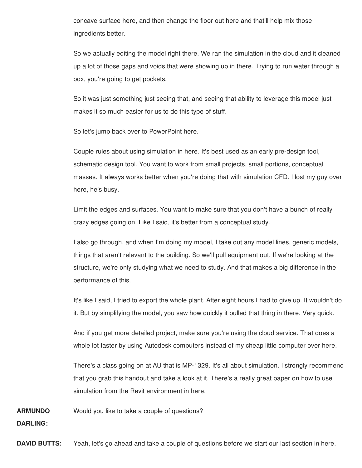concave surface here, and then change the floor out here and that'll help mix those ingredients better.

So we actually editing the model right there. We ran the simulation in the cloud and it cleaned up a lot of those gaps and voids that were showing up in there. Trying to run water through a box, you're going to get pockets.

So it was just something just seeing that, and seeing that ability to leverage this model just makes it so much easier for us to do this type of stuff.

So let's jump back over to PowerPoint here.

Couple rules about using simulation in here. It's best used as an early pre-design tool, schematic design tool. You want to work from small projects, small portions, conceptual masses. It always works better when you're doing that with simulation CFD. I lost my guy over here, he's busy.

Limit the edges and surfaces. You want to make sure that you don't have a bunch of really crazy edges going on. Like I said, it's better from a conceptual study.

I also go through, and when I'm doing my model, I take out any model lines, generic models, things that aren't relevant to the building. So we'll pull equipment out. If we're looking at the structure, we're only studying what we need to study. And that makes a big difference in the performance of this.

It's like I said, I tried to export the whole plant. After eight hours I had to give up. It wouldn't do it. But by simplifying the model, you saw how quickly it pulled that thing in there. Very quick.

And if you get more detailed project, make sure you're using the cloud service. That does a whole lot faster by using Autodesk computers instead of my cheap little computer over here.

There's a class going on at AU that is MP-1329. It's all about simulation. I strongly recommend that you grab this handout and take a look at it. There's a really great paper on how to use simulation from the Revit environment in here.

**ARMUNDO** Would you like to take a couple of questions?

**DARLING:**

**DAVID BUTTS:** Yeah, let's go ahead and take a couple of questions before we start our last section in here.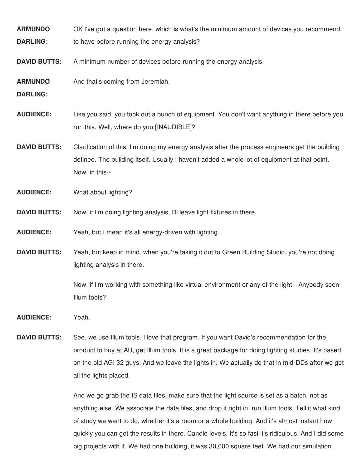**ARMUNDO DARLING:** OK I've got a question here, which is what's the minimum amount of devices you recommend to have before running the energy analysis?

**DAVID BUTTS:** A minimum number of devices before running the energy analysis.

**ARMUNDO** And that's coming from Jeremiah.

**DARLING:**

**AUDIENCE:** Like you said, you took out a bunch of equipment. You don't want anything in there before you run this. Well, where do you [INAUDIBLE]?

**DAVID BUTTS:** Clarification of this. I'm doing my energy analysis after the process engineers get the building defined. The building itself. Usually I haven't added a whole lot of equipment at that point. Now, in this--

**AUDIENCE:** What about lighting?

**DAVID BUTTS:** Now, if I'm doing lighting analysis, I'll leave light fixtures in there.

**AUDIENCE:** Yeah, but I mean it's all energy-driven with lighting.

**DAVID BUTTS:** Yeah, but keep in mind, when you're taking it out to Green Building Studio, you're not doing lighting analysis in there.

> Now, if I'm working with something like virtual environment or any of the light-- Anybody seen Illum tools?

**AUDIENCE:** Yeah.

**DAVID BUTTS:** See, we use Illum tools. I love that program. If you want David's recommendation for the product to buy at AU, get Illum tools. It is a great package for doing lighting studies. It's based on the old AGI 32 guys. And we leave the lights in. We actually do that in mid-DDs after we get all the lights placed.

> And we go grab the IS data files, make sure that the light source is set as a batch, not as anything else. We associate the data files, and drop it right in, run Illum tools. Tell it what kind of study we want to do, whether it's a room or a whole building. And it's almost instant how quickly you can get the results in there. Candle levels. It's so fast it's ridiculous. And I did some big projects with it. We had one building, it was 30,000 square feet. We had our simulation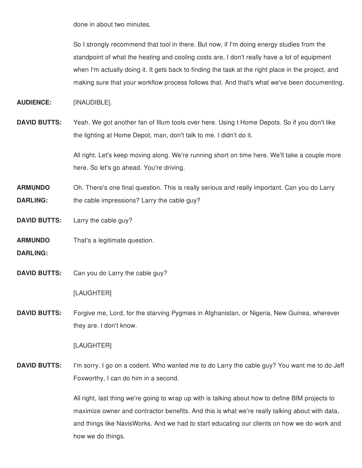done in about two minutes.

So I strongly recommend that tool in there. But now, if I'm doing energy studies from the standpoint of what the heating and cooling costs are, I don't really have a lot of equipment when I'm actually doing it. It gets back to finding the task at the right place in the project, and making sure that your workflow process follows that. And that's what we've been documenting.

**AUDIENCE:** [INAUDIBLE].

**DAVID BUTTS:** Yeah. We got another fan of Illum tools over here. Using t Home Depots. So if you don't like the lighting at Home Depot, man, don't talk to me. I didn't do it.

> All right. Let's keep moving along. We're running short on time here. We'll take a couple more here. So let's go ahead. You're driving.

**ARMUNDO DARLING:** Oh. There's one final question. This is really serious and really important. Can you do Larry the cable impressions? Larry the cable guy?

**DAVID BUTTS:** Larry the cable guy?

**ARMUNDO** That's a legitimate question.

- **DARLING:**
- **DAVID BUTTS:** Can you do Larry the cable guy?

[LAUGHTER]

**DAVID BUTTS:** Forgive me, Lord, for the starving Pygmies in Afghanistan, or Nigeria, New Guinea, wherever they are. I don't know.

### [LAUGHTER]

**DAVID BUTTS:** I'm sorry. I go on a codent. Who wanted me to do Larry the cable guy? You want me to do Jeff Foxworthy, I can do him in a second.

> All right, last thing we're going to wrap up with is talking about how to define BIM projects to maximize owner and contractor benefits. And this is what we're really talking about with data, and things like NavisWorks. And we had to start educating our clients on how we do work and how we do things.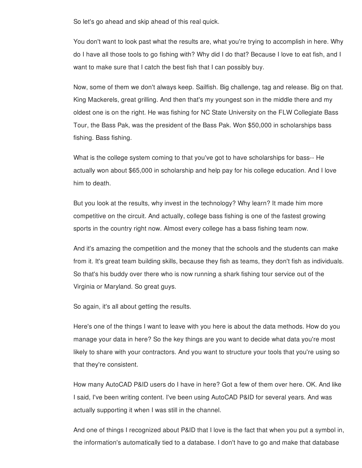So let's go ahead and skip ahead of this real quick.

You don't want to look past what the results are, what you're trying to accomplish in here. Why do I have all those tools to go fishing with? Why did I do that? Because I love to eat fish, and I want to make sure that I catch the best fish that I can possibly buy.

Now, some of them we don't always keep. Sailfish. Big challenge, tag and release. Big on that. King Mackerels, great grilling. And then that's my youngest son in the middle there and my oldest one is on the right. He was fishing for NC State University on the FLW Collegiate Bass Tour, the Bass Pak, was the president of the Bass Pak. Won \$50,000 in scholarships bass fishing. Bass fishing.

What is the college system coming to that you've got to have scholarships for bass-- He actually won about \$65,000 in scholarship and help pay for his college education. And I love him to death.

But you look at the results, why invest in the technology? Why learn? It made him more competitive on the circuit. And actually, college bass fishing is one of the fastest growing sports in the country right now. Almost every college has a bass fishing team now.

And it's amazing the competition and the money that the schools and the students can make from it. It's great team building skills, because they fish as teams, they don't fish as individuals. So that's his buddy over there who is now running a shark fishing tour service out of the Virginia or Maryland. So great guys.

So again, it's all about getting the results.

Here's one of the things I want to leave with you here is about the data methods. How do you manage your data in here? So the key things are you want to decide what data you're most likely to share with your contractors. And you want to structure your tools that you're using so that they're consistent.

How many AutoCAD P&ID users do I have in here? Got a few of them over here. OK. And like I said, I've been writing content. I've been using AutoCAD P&ID for several years. And was actually supporting it when I was still in the channel.

And one of things I recognized about P&ID that I love is the fact that when you put a symbol in, the information's automatically tied to a database. I don't have to go and make that database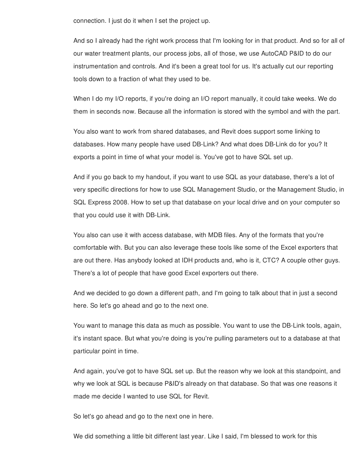connection. I just do it when I set the project up.

And so I already had the right work process that I'm looking for in that product. And so for all of our water treatment plants, our process jobs, all of those, we use AutoCAD P&ID to do our instrumentation and controls. And it's been a great tool for us. It's actually cut our reporting tools down to a fraction of what they used to be.

When I do my I/O reports, if you're doing an I/O report manually, it could take weeks. We do them in seconds now. Because all the information is stored with the symbol and with the part.

You also want to work from shared databases, and Revit does support some linking to databases. How many people have used DB-Link? And what does DB-Link do for you? It exports a point in time of what your model is. You've got to have SQL set up.

And if you go back to my handout, if you want to use SQL as your database, there's a lot of very specific directions for how to use SQL Management Studio, or the Management Studio, in SQL Express 2008. How to set up that database on your local drive and on your computer so that you could use it with DB-Link.

You also can use it with access database, with MDB files. Any of the formats that you're comfortable with. But you can also leverage these tools like some of the Excel exporters that are out there. Has anybody looked at IDH products and, who is it, CTC? A couple other guys. There's a lot of people that have good Excel exporters out there.

And we decided to go down a different path, and I'm going to talk about that in just a second here. So let's go ahead and go to the next one.

You want to manage this data as much as possible. You want to use the DB-Link tools, again, it's instant space. But what you're doing is you're pulling parameters out to a database at that particular point in time.

And again, you've got to have SQL set up. But the reason why we look at this standpoint, and why we look at SQL is because P&ID's already on that database. So that was one reasons it made me decide I wanted to use SQL for Revit.

So let's go ahead and go to the next one in here.

We did something a little bit different last year. Like I said, I'm blessed to work for this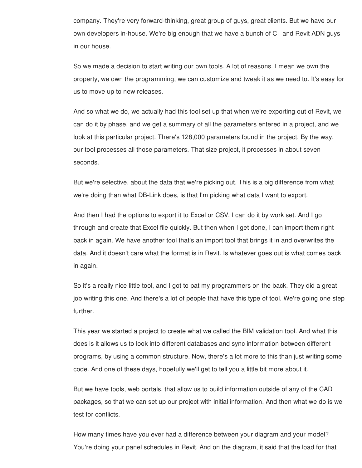company. They're very forward-thinking, great group of guys, great clients. But we have our own developers in-house. We're big enough that we have a bunch of C+ and Revit ADN guys in our house.

So we made a decision to start writing our own tools. A lot of reasons. I mean we own the property, we own the programming, we can customize and tweak it as we need to. It's easy for us to move up to new releases.

And so what we do, we actually had this tool set up that when we're exporting out of Revit, we can do it by phase, and we get a summary of all the parameters entered in a project, and we look at this particular project. There's 128,000 parameters found in the project. By the way, our tool processes all those parameters. That size project, it processes in about seven seconds.

But we're selective. about the data that we're picking out. This is a big difference from what we're doing than what DB-Link does, is that I'm picking what data I want to export.

And then I had the options to export it to Excel or CSV. I can do it by work set. And I go through and create that Excel file quickly. But then when I get done, I can import them right back in again. We have another tool that's an import tool that brings it in and overwrites the data. And it doesn't care what the format is in Revit. Is whatever goes out is what comes back in again.

So it's a really nice little tool, and I got to pat my programmers on the back. They did a great job writing this one. And there's a lot of people that have this type of tool. We're going one step further.

This year we started a project to create what we called the BIM validation tool. And what this does is it allows us to look into different databases and sync information between different programs, by using a common structure. Now, there's a lot more to this than just writing some code. And one of these days, hopefully we'll get to tell you a little bit more about it.

But we have tools, web portals, that allow us to build information outside of any of the CAD packages, so that we can set up our project with initial information. And then what we do is we test for conflicts.

How many times have you ever had a difference between your diagram and your model? You're doing your panel schedules in Revit. And on the diagram, it said that the load for that